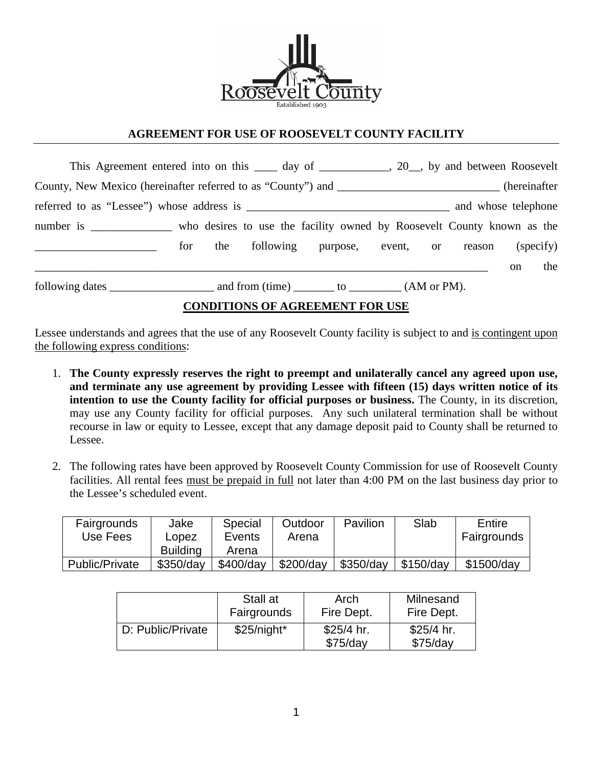

## **AGREEMENT FOR USE OF ROOSEVELT COUNTY FACILITY**

| This Agreement entered into on this _____ day of ____________, 20_, by and between Roosevelt         |     |     |  |                                               |  |  |  |               |     |
|------------------------------------------------------------------------------------------------------|-----|-----|--|-----------------------------------------------|--|--|--|---------------|-----|
| County, New Mexico (hereinafter referred to as "County") and ___________________________(hereinafter |     |     |  |                                               |  |  |  |               |     |
| and whose telephone                                                                                  |     |     |  |                                               |  |  |  |               |     |
| number is ______________ who desires to use the facility owned by Roosevelt County known as the      |     |     |  |                                               |  |  |  |               |     |
|                                                                                                      | for | the |  | following purpose, event, or reason (specify) |  |  |  |               |     |
|                                                                                                      |     |     |  |                                               |  |  |  | <sub>on</sub> | the |
|                                                                                                      |     |     |  |                                               |  |  |  |               |     |
| CONDITIONS OF LOBBB HUE FOR HSP                                                                      |     |     |  |                                               |  |  |  |               |     |

## **CONDITIONS OF AGREEMENT FOR USE**

Lessee understands and agrees that the use of any Roosevelt County facility is subject to and is contingent upon the following express conditions:

- 1. **The County expressly reserves the right to preempt and unilaterally cancel any agreed upon use, and terminate any use agreement by providing Lessee with fifteen (15) days written notice of its intention to use the County facility for official purposes or business.** The County, in its discretion, may use any County facility for official purposes. Any such unilateral termination shall be without recourse in law or equity to Lessee, except that any damage deposit paid to County shall be returned to Lessee.
- 2. The following rates have been approved by Roosevelt County Commission for use of Roosevelt County facilities. All rental fees must be prepaid in full not later than 4:00 PM on the last business day prior to the Lessee's scheduled event.

| Fairgrounds       | Jake            | Special   | Outdoor   | Pavilion  | Slab        | Entire      |
|-------------------|-----------------|-----------|-----------|-----------|-------------|-------------|
| Use Fees<br>Lopez |                 | Events    | Arena     |           |             | Fairgrounds |
|                   | <b>Building</b> | Arena     |           |           |             |             |
| Public/Private    | \$350/day       | \$400/day | \$200/day | \$350/day | $$150$ /dav | \$1500/day  |

|                   | Stall at     | Arch                      | Milnesand                 |
|-------------------|--------------|---------------------------|---------------------------|
|                   | Fairgrounds  | Fire Dept.                | Fire Dept.                |
| D: Public/Private | $$25/night*$ | $$25/4$ hr.<br>$$75$ /day | $$25/4$ hr.<br>$$75$ /day |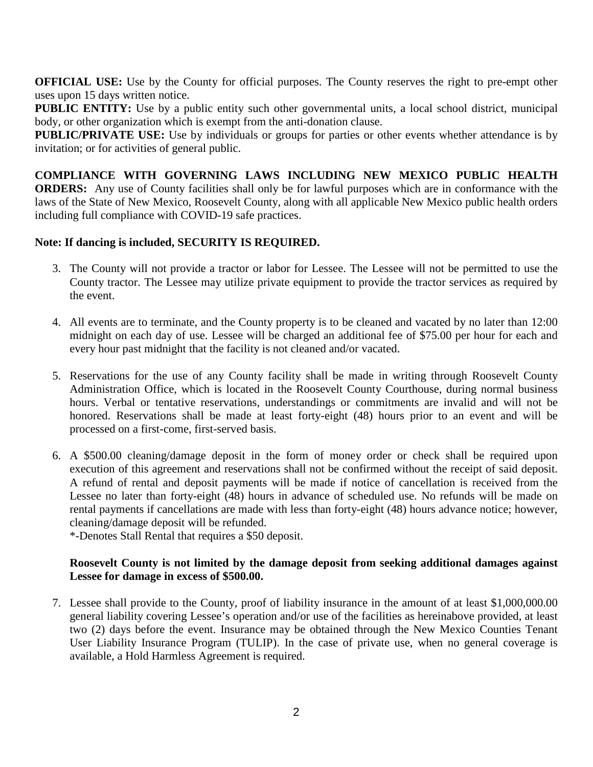**OFFICIAL USE:** Use by the County for official purposes. The County reserves the right to pre-empt other uses upon 15 days written notice.

**PUBLIC ENTITY:** Use by a public entity such other governmental units, a local school district, municipal body, or other organization which is exempt from the anti-donation clause.

**PUBLIC/PRIVATE USE:** Use by individuals or groups for parties or other events whether attendance is by invitation; or for activities of general public.

**COMPLIANCE WITH GOVERNING LAWS INCLUDING NEW MEXICO PUBLIC HEALTH ORDERS:** Any use of County facilities shall only be for lawful purposes which are in conformance with the laws of the State of New Mexico, Roosevelt County, along with all applicable New Mexico public health orders including full compliance with COVID-19 safe practices.

## **Note: If dancing is included, SECURITY IS REQUIRED.**

- 3. The County will not provide a tractor or labor for Lessee. The Lessee will not be permitted to use the County tractor. The Lessee may utilize private equipment to provide the tractor services as required by the event.
- 4. All events are to terminate, and the County property is to be cleaned and vacated by no later than 12:00 midnight on each day of use. Lessee will be charged an additional fee of \$75.00 per hour for each and every hour past midnight that the facility is not cleaned and/or vacated.
- 5. Reservations for the use of any County facility shall be made in writing through Roosevelt County Administration Office, which is located in the Roosevelt County Courthouse, during normal business hours. Verbal or tentative reservations, understandings or commitments are invalid and will not be honored. Reservations shall be made at least forty-eight (48) hours prior to an event and will be processed on a first-come, first-served basis.
- 6. A \$500.00 cleaning/damage deposit in the form of money order or check shall be required upon execution of this agreement and reservations shall not be confirmed without the receipt of said deposit. A refund of rental and deposit payments will be made if notice of cancellation is received from the Lessee no later than forty-eight (48) hours in advance of scheduled use. No refunds will be made on rental payments if cancellations are made with less than forty-eight (48) hours advance notice; however, cleaning/damage deposit will be refunded.

\*-Denotes Stall Rental that requires a \$50 deposit.

## **Roosevelt County is not limited by the damage deposit from seeking additional damages against Lessee for damage in excess of \$500.00.**

7. Lessee shall provide to the County, proof of liability insurance in the amount of at least \$1,000,000.00 general liability covering Lessee's operation and/or use of the facilities as hereinabove provided, at least two (2) days before the event. Insurance may be obtained through the New Mexico Counties Tenant User Liability Insurance Program (TULIP). In the case of private use, when no general coverage is available, a Hold Harmless Agreement is required.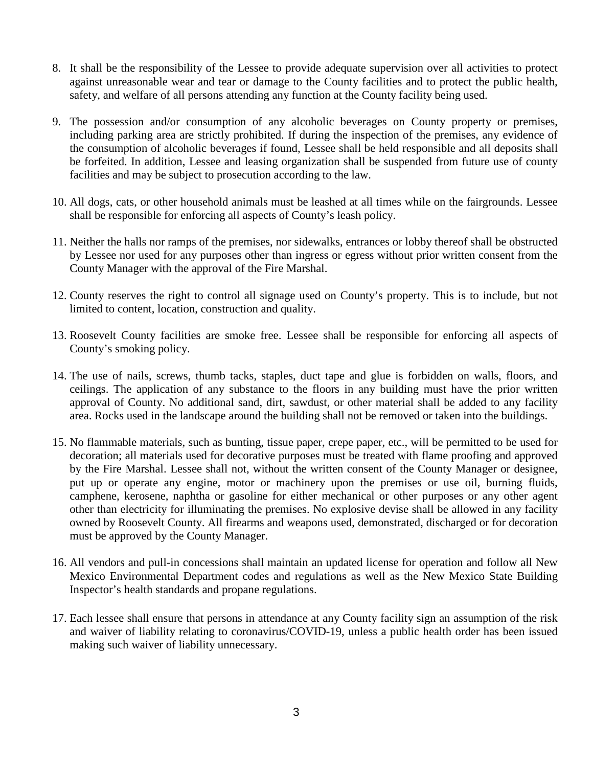- 8. It shall be the responsibility of the Lessee to provide adequate supervision over all activities to protect against unreasonable wear and tear or damage to the County facilities and to protect the public health, safety, and welfare of all persons attending any function at the County facility being used.
- 9. The possession and/or consumption of any alcoholic beverages on County property or premises, including parking area are strictly prohibited. If during the inspection of the premises, any evidence of the consumption of alcoholic beverages if found, Lessee shall be held responsible and all deposits shall be forfeited. In addition, Lessee and leasing organization shall be suspended from future use of county facilities and may be subject to prosecution according to the law.
- 10. All dogs, cats, or other household animals must be leashed at all times while on the fairgrounds. Lessee shall be responsible for enforcing all aspects of County's leash policy.
- 11. Neither the halls nor ramps of the premises, nor sidewalks, entrances or lobby thereof shall be obstructed by Lessee nor used for any purposes other than ingress or egress without prior written consent from the County Manager with the approval of the Fire Marshal.
- 12. County reserves the right to control all signage used on County's property. This is to include, but not limited to content, location, construction and quality.
- 13. Roosevelt County facilities are smoke free. Lessee shall be responsible for enforcing all aspects of County's smoking policy.
- 14. The use of nails, screws, thumb tacks, staples, duct tape and glue is forbidden on walls, floors, and ceilings. The application of any substance to the floors in any building must have the prior written approval of County. No additional sand, dirt, sawdust, or other material shall be added to any facility area. Rocks used in the landscape around the building shall not be removed or taken into the buildings.
- 15. No flammable materials, such as bunting, tissue paper, crepe paper, etc., will be permitted to be used for decoration; all materials used for decorative purposes must be treated with flame proofing and approved by the Fire Marshal. Lessee shall not, without the written consent of the County Manager or designee, put up or operate any engine, motor or machinery upon the premises or use oil, burning fluids, camphene, kerosene, naphtha or gasoline for either mechanical or other purposes or any other agent other than electricity for illuminating the premises. No explosive devise shall be allowed in any facility owned by Roosevelt County. All firearms and weapons used, demonstrated, discharged or for decoration must be approved by the County Manager.
- 16. All vendors and pull-in concessions shall maintain an updated license for operation and follow all New Mexico Environmental Department codes and regulations as well as the New Mexico State Building Inspector's health standards and propane regulations.
- 17. Each lessee shall ensure that persons in attendance at any County facility sign an assumption of the risk and waiver of liability relating to coronavirus/COVID-19, unless a public health order has been issued making such waiver of liability unnecessary.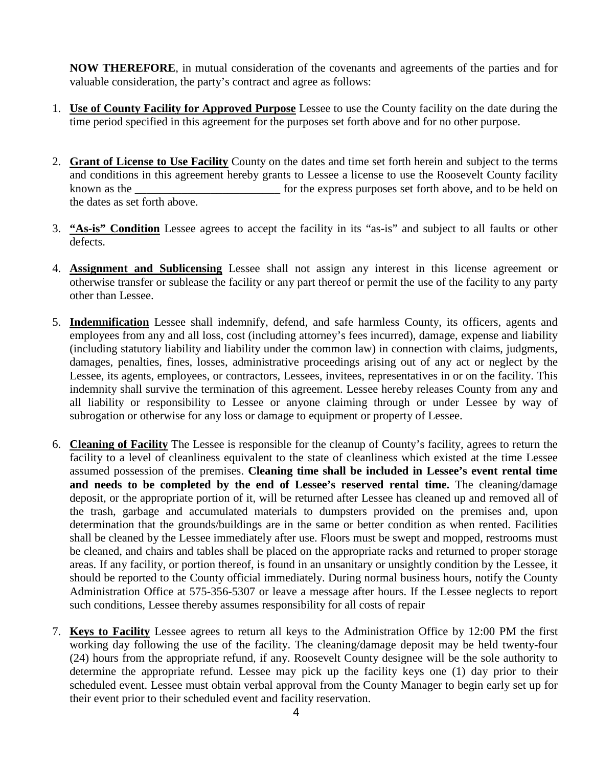**NOW THEREFORE**, in mutual consideration of the covenants and agreements of the parties and for valuable consideration, the party's contract and agree as follows:

- 1. **Use of County Facility for Approved Purpose** Lessee to use the County facility on the date during the time period specified in this agreement for the purposes set forth above and for no other purpose.
- 2. **Grant of License to Use Facility** County on the dates and time set forth herein and subject to the terms and conditions in this agreement hereby grants to Lessee a license to use the Roosevelt County facility known as the \_\_\_\_\_\_\_\_\_\_\_\_\_\_\_\_\_\_\_\_\_\_\_\_\_\_\_\_\_\_\_\_\_ for the express purposes set forth above, and to be held on the dates as set forth above.
- 3. **"As-is" Condition** Lessee agrees to accept the facility in its "as-is" and subject to all faults or other defects.
- 4. **Assignment and Sublicensing** Lessee shall not assign any interest in this license agreement or otherwise transfer or sublease the facility or any part thereof or permit the use of the facility to any party other than Lessee.
- 5. **Indemnification** Lessee shall indemnify, defend, and safe harmless County, its officers, agents and employees from any and all loss, cost (including attorney's fees incurred), damage, expense and liability (including statutory liability and liability under the common law) in connection with claims, judgments, damages, penalties, fines, losses, administrative proceedings arising out of any act or neglect by the Lessee, its agents, employees, or contractors, Lessees, invitees, representatives in or on the facility. This indemnity shall survive the termination of this agreement. Lessee hereby releases County from any and all liability or responsibility to Lessee or anyone claiming through or under Lessee by way of subrogation or otherwise for any loss or damage to equipment or property of Lessee.
- 6. **Cleaning of Facility** The Lessee is responsible for the cleanup of County's facility, agrees to return the facility to a level of cleanliness equivalent to the state of cleanliness which existed at the time Lessee assumed possession of the premises. **Cleaning time shall be included in Lessee's event rental time and needs to be completed by the end of Lessee's reserved rental time.** The cleaning/damage deposit, or the appropriate portion of it, will be returned after Lessee has cleaned up and removed all of the trash, garbage and accumulated materials to dumpsters provided on the premises and, upon determination that the grounds/buildings are in the same or better condition as when rented. Facilities shall be cleaned by the Lessee immediately after use. Floors must be swept and mopped, restrooms must be cleaned, and chairs and tables shall be placed on the appropriate racks and returned to proper storage areas. If any facility, or portion thereof, is found in an unsanitary or unsightly condition by the Lessee, it should be reported to the County official immediately. During normal business hours, notify the County Administration Office at 575-356-5307 or leave a message after hours. If the Lessee neglects to report such conditions, Lessee thereby assumes responsibility for all costs of repair
- 7. **Keys to Facility** Lessee agrees to return all keys to the Administration Office by 12:00 PM the first working day following the use of the facility. The cleaning/damage deposit may be held twenty-four (24) hours from the appropriate refund, if any. Roosevelt County designee will be the sole authority to determine the appropriate refund. Lessee may pick up the facility keys one (1) day prior to their scheduled event. Lessee must obtain verbal approval from the County Manager to begin early set up for their event prior to their scheduled event and facility reservation.